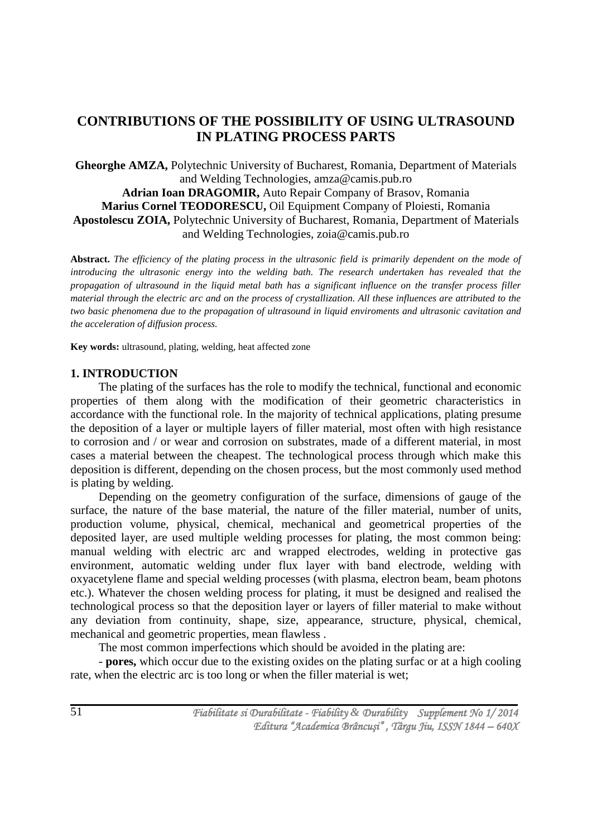# **CONTRIBUTIONS OF THE POSSIBILITY OF USING ULTRASOUND IN PLATING PROCESS PARTS**

**Gheorghe AMZA,** Polytechnic University of Bucharest, Romania, Department of Materials and Welding Technologies, amza@camis.pub.ro **Adrian Ioan DRAGOMIR,** Auto Repair Company of Brasov, Romania **Marius Cornel TEODORESCU,** Oil Equipment Company of Ploiesti, Romania **Apostolescu ZOIA,** Polytechnic University of Bucharest, Romania, Department of Materials and Welding Technologies, zoia@camis.pub.ro

**Abstract.** *The efficiency of the plating process in the ultrasonic field is primarily dependent on the mode of introducing the ultrasonic energy into the welding bath. The research undertaken has revealed that the propagation of ultrasound in the liquid metal bath has a significant influence on the transfer process filler material through the electric arc and on the process of crystallization. All these influences are attributed to the two basic phenomena due to the propagation of ultrasound in liquid enviroments and ultrasonic cavitation and the acceleration of diffusion process.*

**Key words:** ultrasound, plating, welding, heat affected zone

## **1. INTRODUCTION**

The plating of the surfaces has the role to modify the technical, functional and economic properties of them along with the modification of their geometric characteristics in accordance with the functional role. In the majority of technical applications, plating presume the deposition of a layer or multiple layers of filler material, most often with high resistance to corrosion and / or wear and corrosion on substrates, made of a different material, in most cases a material between the cheapest. The technological process through which make this deposition is different, depending on the chosen process, but the most commonly used method is plating by welding.

Depending on the geometry configuration of the surface, dimensions of gauge of the surface, the nature of the base material, the nature of the filler material, number of units, production volume, physical, chemical, mechanical and geometrical properties of the deposited layer, are used multiple welding processes for plating, the most common being: manual welding with electric arc and wrapped electrodes, welding in protective gas environment, automatic welding under flux layer with band electrode, welding with oxyacetylene flame and special welding processes (with plasma, electron beam, beam photons etc.). Whatever the chosen welding process for plating, it must be designed and realised the technological process so that the deposition layer or layers of filler material to make without any deviation from continuity, shape, size, appearance, structure, physical, chemical, mechanical and geometric properties, mean flawless .

The most common imperfections which should be avoided in the plating are:

- **pores,** which occur due to the existing oxides on the plating surfac or at a high cooling rate, when the electric arc is too long or when the filler material is wet;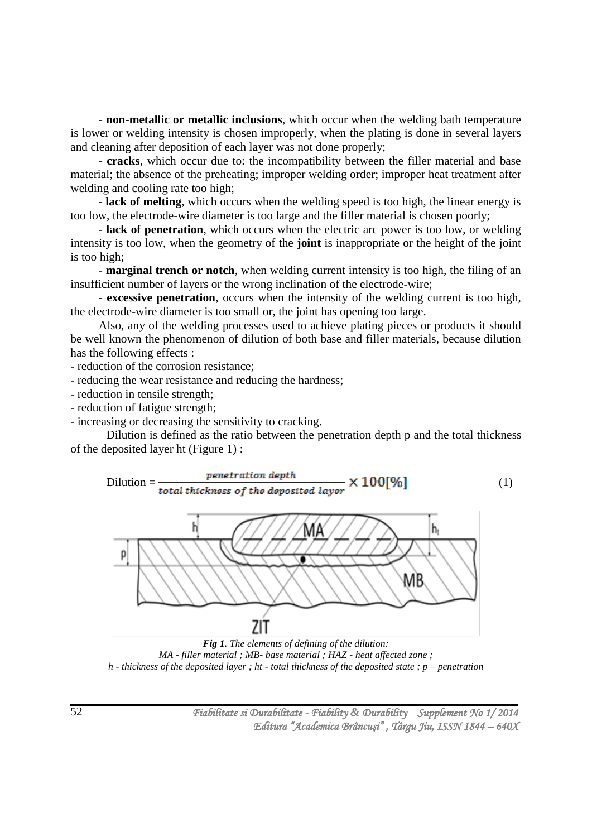- **non-metallic or metallic inclusions**, which occur when the welding bath temperature is lower or welding intensity is chosen improperly, when the plating is done in several layers and cleaning after deposition of each layer was not done properly;

- **cracks**, which occur due to: the incompatibility between the filler material and base material; the absence of the preheating; improper welding order; improper heat treatment after welding and cooling rate too high;

- **lack of melting**, which occurs when the welding speed is too high, the linear energy is too low, the electrode-wire diameter is too large and the filler material is chosen poorly;

- **lack of penetration**, which occurs when the electric arc power is too low, or welding intensity is too low, when the geometry of the **joint** is inappropriate or the height of the joint is too high;

- **marginal trench or notch**, when welding current intensity is too high, the filing of an insufficient number of layers or the wrong inclination of the electrode-wire;

- **excessive penetration**, occurs when the intensity of the welding current is too high, the electrode-wire diameter is too small or, the joint has opening too large.

Also, any of the welding processes used to achieve plating pieces or products it should be well known the phenomenon of dilution of both base and filler materials, because dilution has the following effects :

- reduction of the corrosion resistance;

- reducing the wear resistance and reducing the hardness;

- reduction in tensile strength;

- reduction of fatigue strength;

- increasing or decreasing the sensitivity to cracking.

Dilution is defined as the ratio between the penetration depth p and the total thickness of the deposited layer ht (Figure 1) :

$$
\text{Dilution} = \frac{\text{penstration depth}}{\text{total thickness of the deposited layer}} \times 100[\%]
$$
 (1)



*Fig 1. The elements of defining of the dilution: MA - filler material ; MB- base material ; HAZ - heat affected zone ; h - thickness of the deposited layer ; ht - total thickness of the deposited state ; p – penetration*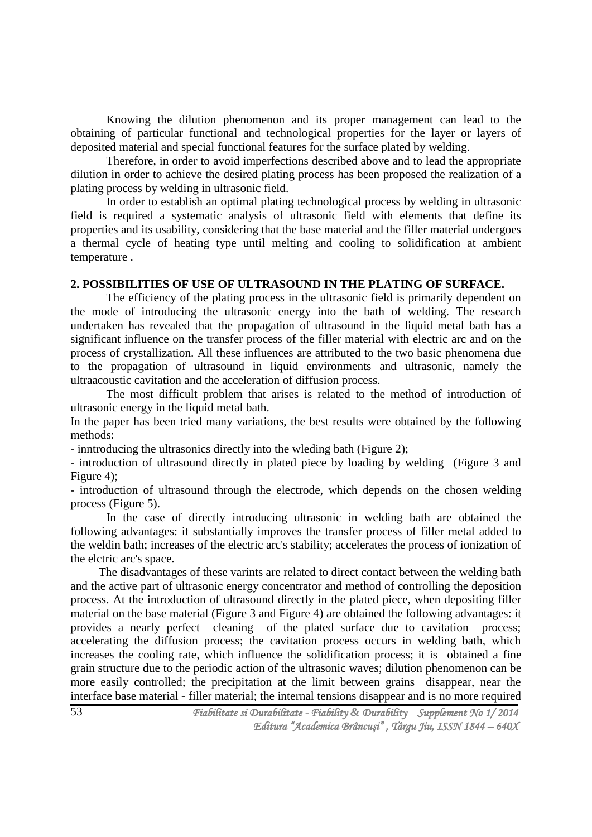Knowing the dilution phenomenon and its proper management can lead to the obtaining of particular functional and technological properties for the layer or layers of deposited material and special functional features for the surface plated by welding.

Therefore, in order to avoid imperfections described above and to lead the appropriate dilution in order to achieve the desired plating process has been proposed the realization of a plating process by welding in ultrasonic field.

In order to establish an optimal plating technological process by welding in ultrasonic field is required a systematic analysis of ultrasonic field with elements that define its properties and its usability, considering that the base material and the filler material undergoes a thermal cycle of heating type until melting and cooling to solidification at ambient temperature .

### **2. POSSIBILITIES OF USE OF ULTRASOUND IN THE PLATING OF SURFACE.**

The efficiency of the plating process in the ultrasonic field is primarily dependent on the mode of introducing the ultrasonic energy into the bath of welding. The research undertaken has revealed that the propagation of ultrasound in the liquid metal bath has a significant influence on the transfer process of the filler material with electric arc and on the process of crystallization. All these influences are attributed to the two basic phenomena due to the propagation of ultrasound in liquid environments and ultrasonic, namely the ultraacoustic cavitation and the acceleration of diffusion process.

The most difficult problem that arises is related to the method of introduction of ultrasonic energy in the liquid metal bath.

In the paper has been tried many variations, the best results were obtained by the following methods:

- inntroducing the ultrasonics directly into the wleding bath (Figure 2);

- introduction of ultrasound directly in plated piece by loading by welding (Figure 3 and Figure 4);

- introduction of ultrasound through the electrode, which depends on the chosen welding process (Figure 5).

In the case of directly introducing ultrasonic in welding bath are obtained the following advantages: it substantially improves the transfer process of filler metal added to the weldin bath; increases of the electric arc's stability; accelerates the process of ionization of the elctric arc's space.

The disadvantages of these varints are related to direct contact between the welding bath and the active part of ultrasonic energy concentrator and method of controlling the deposition process. At the introduction of ultrasound directly in the plated piece, when depositing filler material on the base material (Figure 3 and Figure 4) are obtained the following advantages: it provides a nearly perfect cleaning of the plated surface due to cavitation process; accelerating the diffusion process; the cavitation process occurs in welding bath, which increases the cooling rate, which influence the solidification process; it is obtained a fine grain structure due to the periodic action of the ultrasonic waves; dilution phenomenon can be more easily controlled; the precipitation at the limit between grains disappear, near the interface base material - filler material; the internal tensions disappear and is no more required

53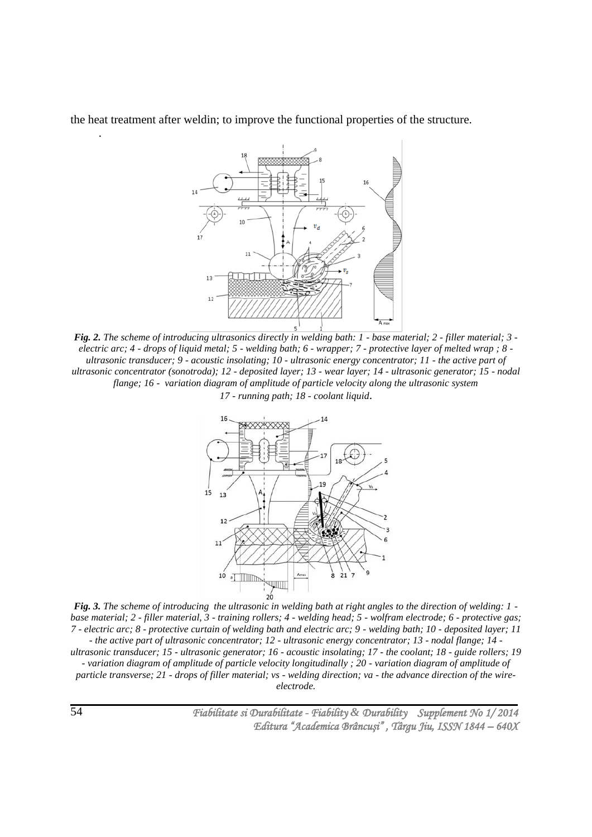the heat treatment after weldin; to improve the functional properties of the structure.



*Fig. 2. The scheme of introducing ultrasonics directly in welding bath: 1 - base material; 2 - filler material; 3 electric arc; 4 - drops of liquid metal; 5 - welding bath; 6 - wrapper; 7 - protective layer of melted wrap ; 8 ultrasonic transducer; 9 - acoustic insolating; 10 - ultrasonic energy concentrator; 11 - the active part of ultrasonic concentrator (sonotroda); 12 - deposited layer; 13 - wear layer; 14 - ultrasonic generator; 15 - nodal flange; 16 - variation diagram of amplitude of particle velocity along the ultrasonic system 17 - running path; 18 - coolant liquid*.



*Fig. 3. The scheme of introducing the ultrasonic in welding bath at right angles to the direction of welding: 1 base material; 2 - filler material, 3 - training rollers; 4 - welding head; 5 - wolfram electrode; 6 - protective gas; 7 - electric arc; 8 - protective curtain of welding bath and electric arc; 9 - welding bath; 10 - deposited layer; 11 - the active part of ultrasonic concentrator; 12 - ultrasonic energy concentrator; 13 - nodal flange; 14 ultrasonic transducer; 15 - ultrasonic generator; 16 - acoustic insolating; 17 - the coolant; 18 - guide rollers; 19 - variation diagram of amplitude of particle velocity longitudinally ; 20 - variation diagram of amplitude of particle transverse; 21 - drops of filler material; vs - welding direction; va - the advance direction of the wireelectrode.*

 *Fiabilitate si Durabilitate - Fiability & Durability Supplement No 1/ 2014 Editura "Academica Brâncuşi" , Târgu Jiu, ISSN 1844 – 640X* 

.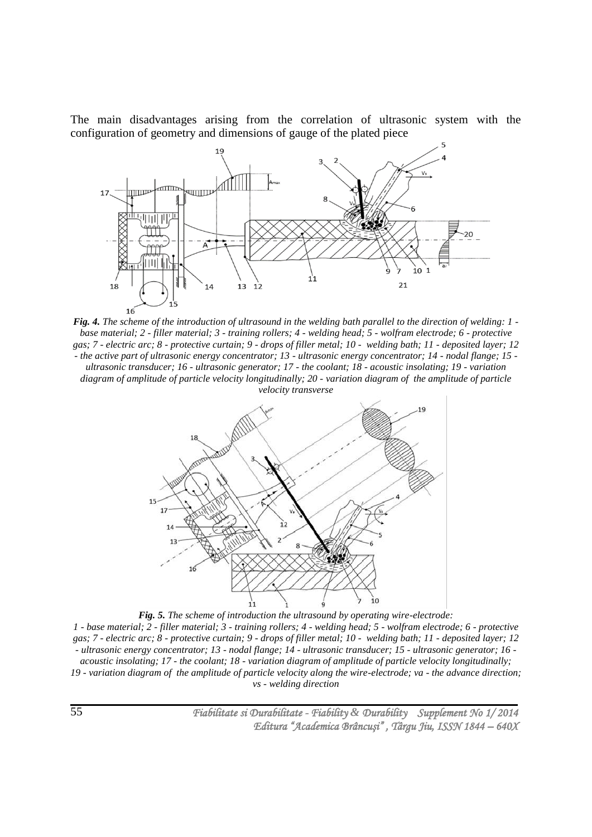The main disadvantages arising from the correlation of ultrasonic system with the configuration of geometry and dimensions of gauge of the plated piece



*Fig. 4. The scheme of the introduction of ultrasound in the welding bath parallel to the direction of welding: 1 base material; 2 - filler material; 3 - training rollers; 4 - welding head; 5 - wolfram electrode; 6 - protective gas; 7 - electric arc; 8 - protective curtain; 9 - drops of filler metal; 10 - welding bath; 11 - deposited layer; 12 - the active part of ultrasonic energy concentrator; 13 - ultrasonic energy concentrator; 14 - nodal flange; 15 ultrasonic transducer; 16 - ultrasonic generator; 17 - the coolant; 18 - acoustic insolating; 19 - variation diagram of amplitude of particle velocity longitudinally; 20 - variation diagram of the amplitude of particle velocity transverse*



*Fig. 5. The scheme of introduction the ultrasound by operating wire-electrode: 1 - base material; 2 - filler material; 3 - training rollers; 4 - welding head; 5 - wolfram electrode; 6 - protective gas; 7 - electric arc; 8 - protective curtain; 9 - drops of filler metal; 10 - welding bath; 11 - deposited layer; 12 - ultrasonic energy concentrator; 13 - nodal flange; 14 - ultrasonic transducer; 15 - ultrasonic generator; 16 acoustic insolating; 17 - the coolant; 18 - variation diagram of amplitude of particle velocity longitudinally; 19 - variation diagram of the amplitude of particle velocity along the wire-electrode; va - the advance direction; vs - welding direction*

 *Fiabilitate si Durabilitate - Fiability & Durability Supplement No 1/ 2014 Editura "Academica Brâncuşi" , Târgu Jiu, ISSN 1844 – 640X*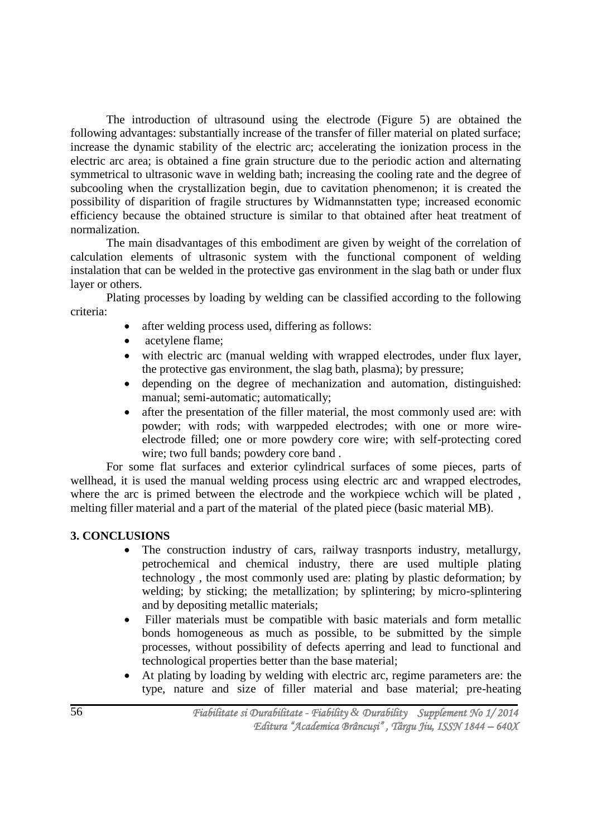The introduction of ultrasound using the electrode (Figure 5) are obtained the following advantages: substantially increase of the transfer of filler material on plated surface; increase the dynamic stability of the electric arc; accelerating the ionization process in the electric arc area; is obtained a fine grain structure due to the periodic action and alternating symmetrical to ultrasonic wave in welding bath; increasing the cooling rate and the degree of subcooling when the crystallization begin, due to cavitation phenomenon; it is created the possibility of disparition of fragile structures by Widmannstatten type; increased economic efficiency because the obtained structure is similar to that obtained after heat treatment of normalization.

The main disadvantages of this embodiment are given by weight of the correlation of calculation elements of ultrasonic system with the functional component of welding instalation that can be welded in the protective gas environment in the slag bath or under flux layer or others.

Plating processes by loading by welding can be classified according to the following criteria:

- after welding process used, differing as follows:
- acetylene flame;
- with electric arc (manual welding with wrapped electrodes, under flux layer, the protective gas environment, the slag bath, plasma); by pressure;
- depending on the degree of mechanization and automation, distinguished: manual; semi-automatic; automatically;
- after the presentation of the filler material, the most commonly used are: with powder; with rods; with warppeded electrodes; with one or more wireelectrode filled; one or more powdery core wire; with self-protecting cored wire; two full bands; powdery core band .

For some flat surfaces and exterior cylindrical surfaces of some pieces, parts of wellhead, it is used the manual welding process using electric arc and wrapped electrodes, where the arc is primed between the electrode and the workpiece wchich will be plated , melting filler material and a part of the material of the plated piece (basic material MB).

### **3. CONCLUSIONS**

- The construction industry of cars, railway trasnports industry, metallurgy, petrochemical and chemical industry, there are used multiple plating technology , the most commonly used are: plating by plastic deformation; by welding; by sticking; the metallization; by splintering; by micro-splintering and by depositing metallic materials;
- Filler materials must be compatible with basic materials and form metallic bonds homogeneous as much as possible, to be submitted by the simple processes, without possibility of defects aperring and lead to functional and technological properties better than the base material;
- At plating by loading by welding with electric arc, regime parameters are: the type, nature and size of filler material and base material; pre-heating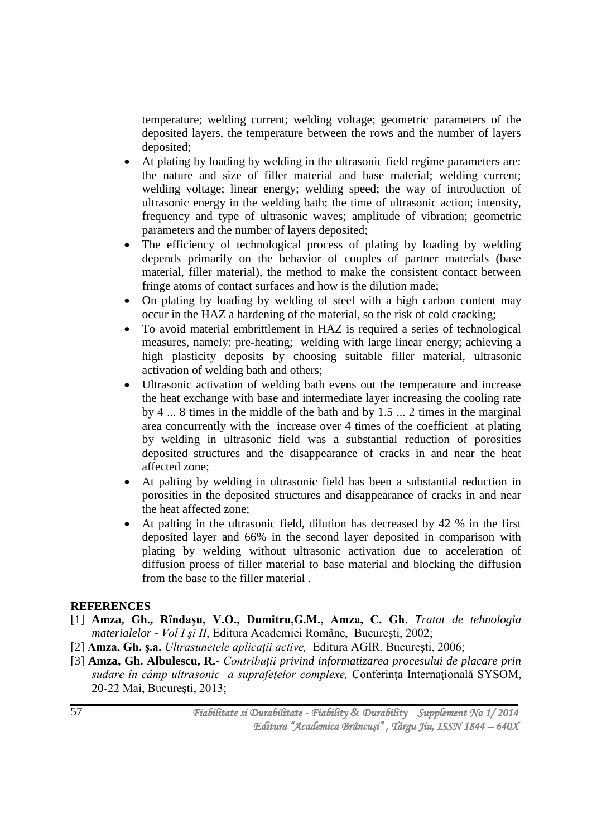temperature; welding current; welding voltage; geometric parameters of the deposited layers, the temperature between the rows and the number of layers deposited;

- At plating by loading by welding in the ultrasonic field regime parameters are: the nature and size of filler material and base material; welding current; welding voltage; linear energy; welding speed; the way of introduction of ultrasonic energy in the welding bath; the time of ultrasonic action; intensity, frequency and type of ultrasonic waves; amplitude of vibration; geometric parameters and the number of layers deposited;
- The efficiency of technological process of plating by loading by welding depends primarily on the behavior of couples of partner materials (base material, filler material), the method to make the consistent contact between fringe atoms of contact surfaces and how is the dilution made;
- On plating by loading by welding of steel with a high carbon content may occur in the HAZ a hardening of the material, so the risk of cold cracking;
- To avoid material embrittlement in HAZ is required a series of technological measures, namely: pre-heating; welding with large linear energy; achieving a high plasticity deposits by choosing suitable filler material, ultrasonic activation of welding bath and others;
- Ultrasonic activation of welding bath evens out the temperature and increase the heat exchange with base and intermediate layer increasing the cooling rate by 4 ... 8 times in the middle of the bath and by 1.5 ... 2 times in the marginal area concurrently with the increase over 4 times of the coefficient at plating by welding in ultrasonic field was a substantial reduction of porosities deposited structures and the disappearance of cracks in and near the heat affected zone;
- At palting by welding in ultrasonic field has been a substantial reduction in porosities in the deposited structures and disappearance of cracks in and near the heat affected zone;
- At palting in the ultrasonic field, dilution has decreased by 42 % in the first deposited layer and 66% in the second layer deposited in comparison with plating by welding without ultrasonic activation due to acceleration of diffusion proess of filler material to base material and blocking the diffusion from the base to the filler material .

### **REFERENCES**

- [1] **Amza, Gh., Rîndaşu, V.O., Dumitru,G.M., Amza, C. Gh**. *Tratat de tehnologia materialelor - Vol I şi II*, Editura Academiei Române, Bucureşti, 2002;
- [2] **Amza, Gh. ş.a.** *Ultrasunetele aplicaţii active,* Editura AGIR, Bucureşti, 2006;
- [3] **Amza, Gh. Albulescu, R.-** *Contribuţii privind informatizarea procesului de placare prin sudare în câmp ultrasonic a suprafeţelor complexe,* Conferinţa Internaţională SYSOM, 20-22 Mai, Bucureşti, 2013;